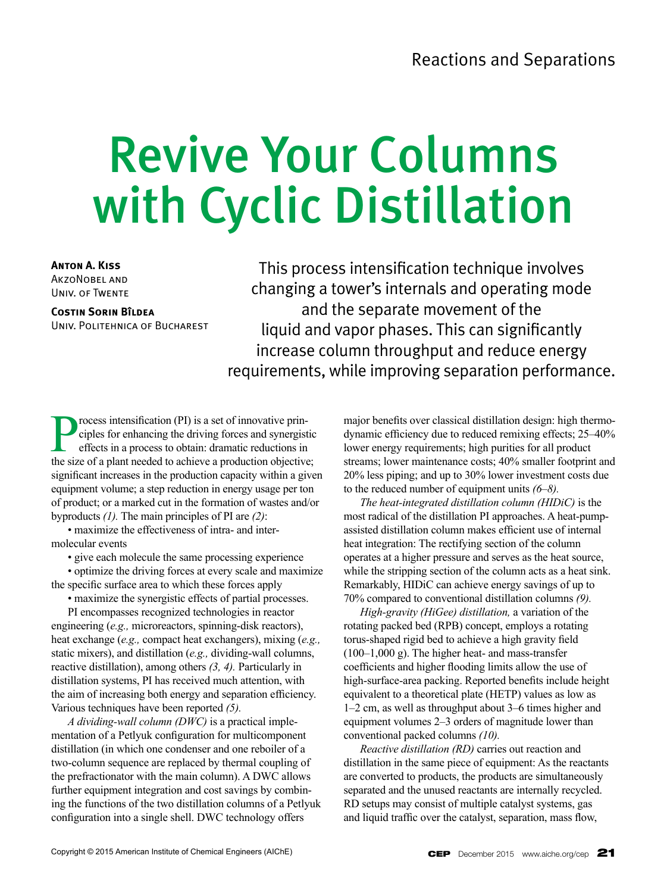# Revive Your Columns with Cyclic Distillation

**Anton A. Kiss** AkzoNobel and Univ. of Twente

**Costin Sorin Bîldea** Univ. Politehnica of Bucharest

This process intensification technique involves changing a tower's internals and operating mode and the separate movement of the liquid and vapor phases. This can significantly increase column throughput and reduce energy requirements, while improving separation performance.

**Process intensification (PI) is a set of innovative principles for enhancing the driving forces and synergist effects in a process to obtain: dramatic reductions in the size of a plant needed to achieve a production objec** ciples for enhancing the driving forces and synergistic effects in a process to obtain: dramatic reductions in the size of a plant needed to achieve a production objective; significant increases in the production capacity within a given equipment volume; a step reduction in energy usage per ton of product; or a marked cut in the formation of wastes and/or byproducts *(1).* The main principles of PI are *(2)*:

• maximize the effectiveness of intra- and intermolecular events

• give each molecule the same processing experience

• optimize the driving forces at every scale and maximize the specific surface area to which these forces apply

• maximize the synergistic effects of partial processes.

PI encompasses recognized technologies in reactor engineering (*e.g.,* microreactors, spinning-disk reactors), heat exchange (*e.g.,* compact heat exchangers), mixing (*e.g.,* static mixers), and distillation (*e.g.,* dividing-wall columns, reactive distillation), among others *(3, 4).* Particularly in distillation systems, PI has received much attention, with the aim of increasing both energy and separation efficiency. Various techniques have been reported *(5).*

*A dividing-wall column (DWC)* is a practical implementation of a Petlyuk configuration for multicomponent distillation (in which one condenser and one reboiler of a two-column sequence are replaced by thermal coupling of the prefractionator with the main column). A DWC allows further equipment integration and cost savings by combining the functions of the two distillation columns of a Petlyuk configuration into a single shell. DWC technology offers

major benefits over classical distillation design: high thermodynamic efficiency due to reduced remixing effects; 25–40% lower energy requirements; high purities for all product streams; lower maintenance costs; 40% smaller footprint and 20% less piping; and up to 30% lower investment costs due to the reduced number of equipment units *(6–8).*

*The heat-integrated distillation column (HIDiC)* is the most radical of the distillation PI approaches. A heat-pumpassisted distillation column makes efficient use of internal heat integration: The rectifying section of the column operates at a higher pressure and serves as the heat source, while the stripping section of the column acts as a heat sink. Remarkably, HIDiC can achieve energy savings of up to 70% compared to conventional distillation columns *(9).*

*High-gravity (HiGee) distillation,* a variation of the rotating packed bed (RPB) concept, employs a rotating torus-shaped rigid bed to achieve a high gravity field (100–1,000 g). The higher heat- and mass-transfer coefficients and higher flooding limits allow the use of high-surface-area packing. Reported benefits include height equivalent to a theoretical plate (HETP) values as low as 1–2 cm, as well as throughput about 3–6 times higher and equipment volumes 2–3 orders of magnitude lower than conventional packed columns *(10).*

*Reactive distillation (RD)* carries out reaction and distillation in the same piece of equipment: As the reactants are converted to products, the products are simultaneously separated and the unused reactants are internally recycled. RD setups may consist of multiple catalyst systems, gas and liquid traffic over the catalyst, separation, mass flow,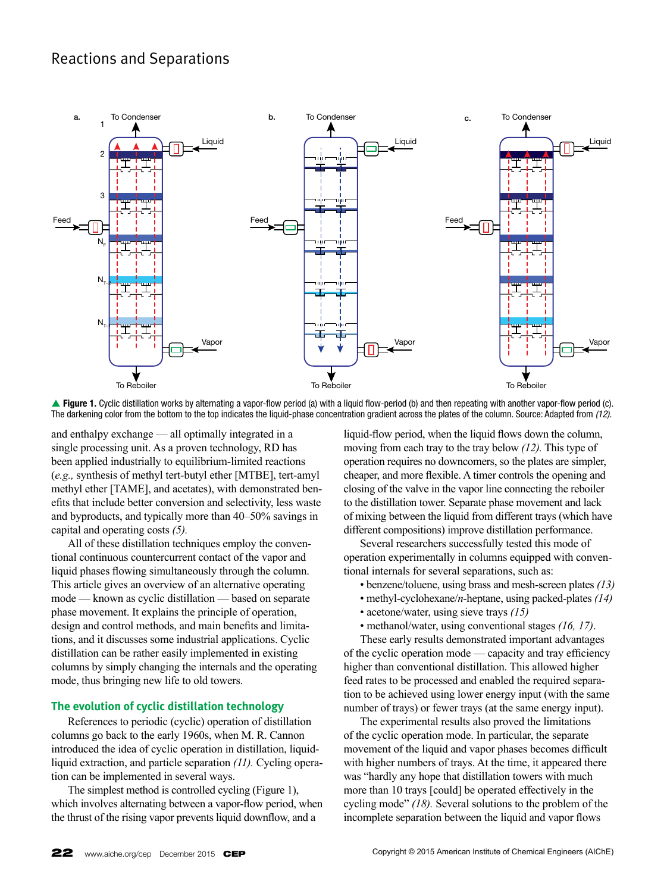# Reactions and Separations



**▲ Figure 1.** Cyclic distillation works by alternating a vapor-flow period (a) with a liquid flow-period (b) and then repeating with another vapor-flow period (c). The darkening color from the bottom to the top indicates the liquid-phase concentration gradient across the plates of the column. Source: Adapted from *(12).*

and enthalpy exchange — all optimally integrated in a single processing unit. As a proven technology, RD has been applied industrially to equilibrium-limited reactions (*e.g.,* synthesis of methyl tert-butyl ether [MTBE], tert-amyl methyl ether [TAME], and acetates), with demonstrated benefits that include better conversion and selectivity, less waste and byproducts, and typically more than 40–50% savings in capital and operating costs *(5).*

All of these distillation techniques employ the conventional continuous countercurrent contact of the vapor and liquid phases flowing simultaneously through the column. This article gives an overview of an alternative operating mode — known as cyclic distillation — based on separate phase movement. It explains the principle of operation, design and control methods, and main benefits and limitations, and it discusses some industrial applications. Cyclic distillation can be rather easily implemented in existing columns by simply changing the internals and the operating mode, thus bringing new life to old towers.

## **The evolution of cyclic distillation technology**

References to periodic (cyclic) operation of distillation columns go back to the early 1960s, when M. R. Cannon introduced the idea of cyclic operation in distillation, liquidliquid extraction, and particle separation *(11).* Cycling operation can be implemented in several ways.

The simplest method is controlled cycling (Figure 1), which involves alternating between a vapor-flow period, when the thrust of the rising vapor prevents liquid downflow, and a

liquid-flow period, when the liquid flows down the column, moving from each tray to the tray below *(12).* This type of operation requires no downcomers, so the plates are simpler, cheaper, and more flexible. A timer controls the opening and closing of the valve in the vapor line connecting the reboiler to the distillation tower. Separate phase movement and lack of mixing between the liquid from different trays (which have different compositions) improve distillation performance.

Several researchers successfully tested this mode of operation experimentally in columns equipped with conventional internals for several separations, such as:

- benzene/toluene, using brass and mesh-screen plates *(13)*
- methyl-cyclohexane/*n*-heptane, using packed-plates *(14)*
- acetone/water, using sieve trays *(15)*
- methanol/water, using conventional stages *(16, 17)*.

These early results demonstrated important advantages of the cyclic operation mode — capacity and tray efficiency higher than conventional distillation. This allowed higher feed rates to be processed and enabled the required separation to be achieved using lower energy input (with the same number of trays) or fewer trays (at the same energy input).

The experimental results also proved the limitations of the cyclic operation mode. In particular, the separate movement of the liquid and vapor phases becomes difficult with higher numbers of trays. At the time, it appeared there was "hardly any hope that distillation towers with much more than 10 trays [could] be operated effectively in the cycling mode" *(18).* Several solutions to the problem of the incomplete separation between the liquid and vapor flows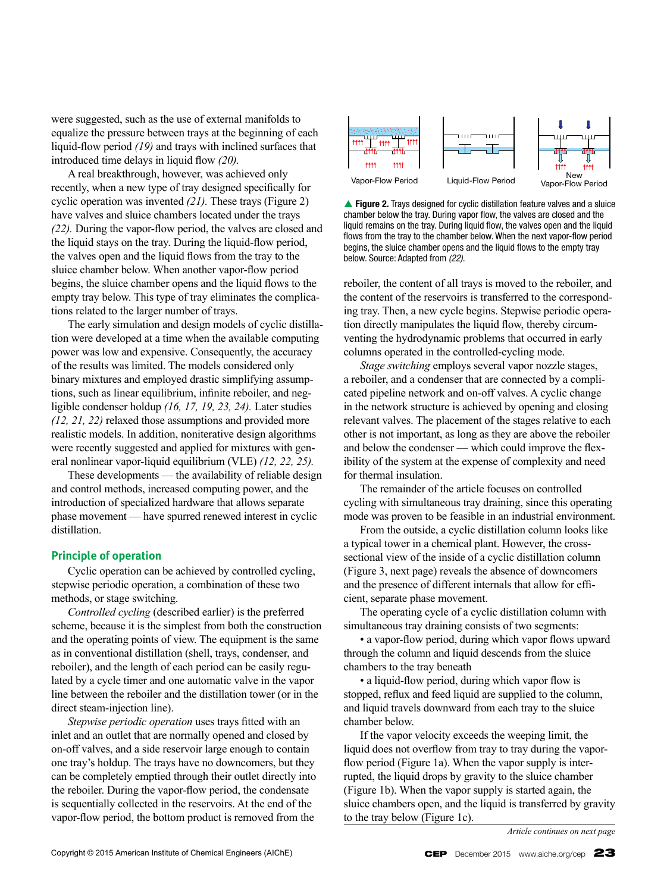were suggested, such as the use of external manifolds to equalize the pressure between trays at the beginning of each liquid-flow period *(19)* and trays with inclined surfaces that introduced time delays in liquid flow *(20).*

A real breakthrough, however, was achieved only recently, when a new type of tray designed specifically for cyclic operation was invented *(21).* These trays (Figure 2) have valves and sluice chambers located under the trays *(22).* During the vapor-flow period, the valves are closed and the liquid stays on the tray. During the liquid-flow period, the valves open and the liquid flows from the tray to the sluice chamber below. When another vapor-flow period begins, the sluice chamber opens and the liquid flows to the empty tray below. This type of tray eliminates the complications related to the larger number of trays.

The early simulation and design models of cyclic distillation were developed at a time when the available computing power was low and expensive. Consequently, the accuracy of the results was limited. The models considered only binary mixtures and employed drastic simplifying assumptions, such as linear equilibrium, infinite reboiler, and negligible condenser holdup *(16, 17, 19, 23, 24).* Later studies *(12, 21, 22)* relaxed those assumptions and provided more realistic models. In addition, noniterative design algorithms were recently suggested and applied for mixtures with general nonlinear vapor-liquid equilibrium (VLE) *(12, 22, 25).*

These developments — the availability of reliable design and control methods, increased computing power, and the introduction of specialized hardware that allows separate phase movement — have spurred renewed interest in cyclic distillation.

#### **Principle of operation**

Cyclic operation can be achieved by controlled cycling, stepwise periodic operation, a combination of these two methods, or stage switching.

*Controlled cycling* (described earlier) is the preferred scheme, because it is the simplest from both the construction and the operating points of view. The equipment is the same as in conventional distillation (shell, trays, condenser, and reboiler), and the length of each period can be easily regulated by a cycle timer and one automatic valve in the vapor line between the reboiler and the distillation tower (or in the direct steam-injection line).

*Stepwise periodic operation* uses trays fitted with an inlet and an outlet that are normally opened and closed by on-off valves, and a side reservoir large enough to contain one tray's holdup. The trays have no downcomers, but they can be completely emptied through their outlet directly into the reboiler. During the vapor-flow period, the condensate is sequentially collected in the reservoirs. At the end of the vapor-flow period, the bottom product is removed from the



**Figure 2.** Trays designed for cyclic distillation feature valves and a sluice chamber below the tray. During vapor flow, the valves are closed and the liquid remains on the tray. During liquid flow, the valves open and the liquid flows from the tray to the chamber below. When the next vapor-flow period begins, the sluice chamber opens and the liquid flows to the empty tray below. Source: Adapted from *(22).*

reboiler, the content of all trays is moved to the reboiler, and the content of the reservoirs is transferred to the corresponding tray. Then, a new cycle begins. Stepwise periodic operation directly manipulates the liquid flow, thereby circumventing the hydrodynamic problems that occurred in early columns operated in the controlled-cycling mode.

*Stage switching* employs several vapor nozzle stages, a reboiler, and a condenser that are connected by a complicated pipeline network and on-off valves. A cyclic change in the network structure is achieved by opening and closing relevant valves. The placement of the stages relative to each other is not important, as long as they are above the reboiler and below the condenser — which could improve the flexibility of the system at the expense of complexity and need for thermal insulation.

The remainder of the article focuses on controlled cycling with simultaneous tray draining, since this operating mode was proven to be feasible in an industrial environment.

From the outside, a cyclic distillation column looks like a typical tower in a chemical plant. However, the crosssectional view of the inside of a cyclic distillation column (Figure 3, next page) reveals the absence of downcomers and the presence of different internals that allow for efficient, separate phase movement.

The operating cycle of a cyclic distillation column with simultaneous tray draining consists of two segments:

• a vapor-flow period, during which vapor flows upward through the column and liquid descends from the sluice chambers to the tray beneath

• a liquid-flow period, during which vapor flow is stopped, reflux and feed liquid are supplied to the column, and liquid travels downward from each tray to the sluice chamber below.

If the vapor velocity exceeds the weeping limit, the liquid does not overflow from tray to tray during the vaporflow period (Figure 1a). When the vapor supply is interrupted, the liquid drops by gravity to the sluice chamber (Figure 1b). When the vapor supply is started again, the sluice chambers open, and the liquid is transferred by gravity to the tray below (Figure 1c).

*Article continues on next page*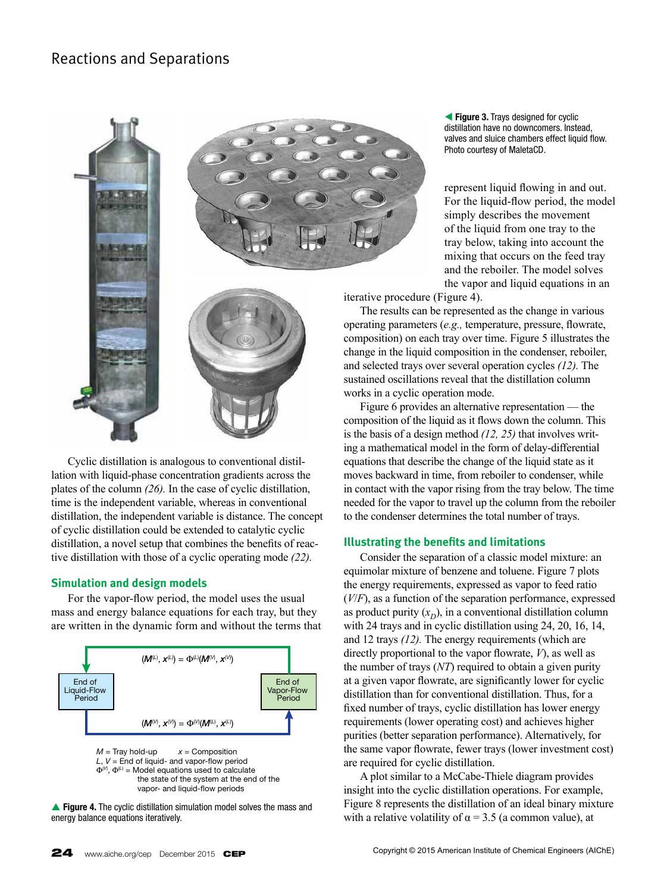# Reactions and Separations



Cyclic distillation is analogous to conventional distillation with liquid-phase concentration gradients across the plates of the column *(26).* In the case of cyclic distillation, time is the independent variable, whereas in conventional distillation, the independent variable is distance. The concept of cyclic distillation could be extended to catalytic cyclic distillation, a novel setup that combines the benefits of reactive distillation with those of a cyclic operating mode *(22).*

### **Simulation and design models**

For the vapor-flow period, the model uses the usual mass and energy balance equations for each tray, but they are written in the dynamic form and without the terms that



**Figure 4.** The cyclic distillation simulation model solves the mass and energy balance equations iteratively.

**figure 3.** Trays designed for cyclic distillation have no downcomers. Instead, valves and sluice chambers effect liquid flow. Photo courtesy of MaletaCD.

represent liquid flowing in and out. For the liquid-flow period, the model simply describes the movement of the liquid from one tray to the tray below, taking into account the mixing that occurs on the feed tray and the reboiler. The model solves the vapor and liquid equations in an

iterative procedure (Figure 4).

The results can be represented as the change in various operating parameters (*e.g.,* temperature, pressure, flowrate, composition) on each tray over time. Figure 5 illustrates the change in the liquid composition in the condenser, reboiler, and selected trays over several operation cycles *(12).* The sustained oscillations reveal that the distillation column works in a cyclic operation mode.

Figure 6 provides an alternative representation — the composition of the liquid as it flows down the column. This is the basis of a design method *(12, 25)* that involves writing a mathematical model in the form of delay-differential equations that describe the change of the liquid state as it moves backward in time, from reboiler to condenser, while in contact with the vapor rising from the tray below. The time needed for the vapor to travel up the column from the reboiler to the condenser determines the total number of trays.

## **Illustrating the benefits and limitations**

Consider the separation of a classic model mixture: an equimolar mixture of benzene and toluene. Figure 7 plots the energy requirements, expressed as vapor to feed ratio (*V*/*F*), as a function of the separation performance, expressed as product purity  $(x_D)$ , in a conventional distillation column with 24 trays and in cyclic distillation using 24, 20, 16, 14, and 12 trays *(12).* The energy requirements (which are directly proportional to the vapor flowrate, *V*), as well as the number of trays (*NT*) required to obtain a given purity at a given vapor flowrate, are significantly lower for cyclic distillation than for conventional distillation. Thus, for a fixed number of trays, cyclic distillation has lower energy requirements (lower operating cost) and achieves higher purities (better separation performance). Alternatively, for the same vapor flowrate, fewer trays (lower investment cost) are required for cyclic distillation.

A plot similar to a McCabe-Thiele diagram provides insight into the cyclic distillation operations. For example, Figure 8 represents the distillation of an ideal binary mixture with a relative volatility of  $\alpha = 3.5$  (a common value), at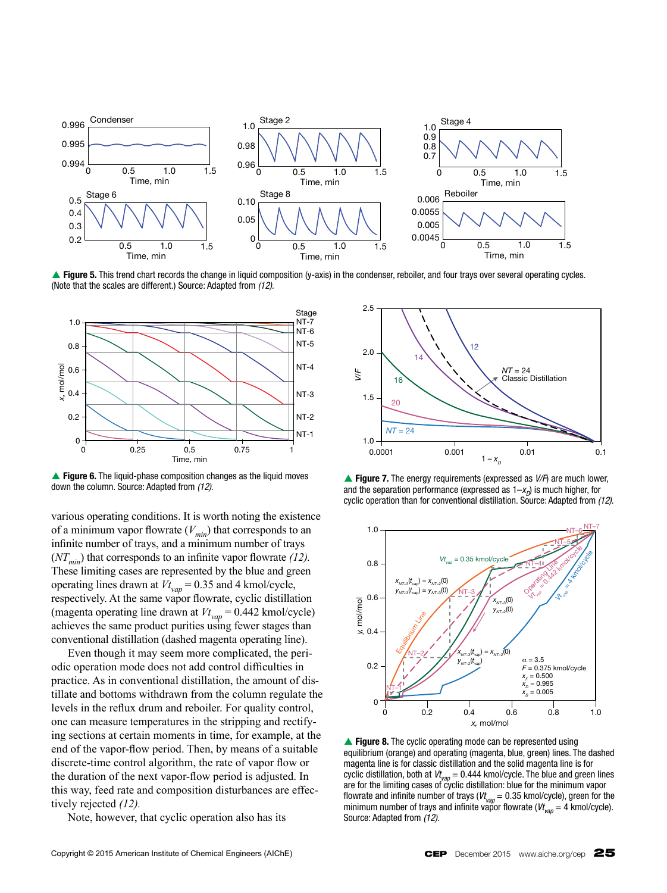

**▲ Figure 5.** This trend chart records the change in liquid composition (y-axis) in the condenser, reboiler, and four trays over several operating cycles. (Note that the scales are different.) Source: Adapted from *(12).*



**Figure 6.** The liquid-phase composition changes as the liquid moves down the column. Source: Adapted from *(12).*

various operating conditions. It is worth noting the existence of a minimum vapor flowrate  $(V_{min})$  that corresponds to an infinite number of trays, and a minimum number of trays  $(NT_{min})$  that corresponds to an infinite vapor flowrate  $(12)$ . These limiting cases are represented by the blue and green operating lines drawn at *Vt vap* = 0.35 and 4 kmol/cycle, respectively. At the same vapor flowrate, cyclic distillation (magenta operating line drawn at  $Vt_{vap} = 0.442$  kmol/cycle) achieves the same product purities using fewer stages than conventional distillation (dashed magenta operating line).

Even though it may seem more complicated, the periodic operation mode does not add control difficulties in practice. As in conventional distillation, the amount of distillate and bottoms withdrawn from the column regulate the levels in the reflux drum and reboiler. For quality control, one can measure temperatures in the stripping and rectifying sections at certain moments in time, for example, at the end of the vapor-flow period. Then, by means of a suitable discrete-time control algorithm, the rate of vapor flow or the duration of the next vapor-flow period is adjusted. In this way, feed rate and composition disturbances are effectively rejected *(12).*

Note, however, that cyclic operation also has its

1.5<br>
1.5<br>  $\begin{array}{r} \n \text{V} = 24 \\
 \hline\n 1.0 \n \hline\n 0.0001 \n \end{array}\n \quad\n \begin{array}{r} \n \text{V} = 24 \\
 \hline\n 0.001 \n \end{array}\n \quad\n \begin{array}{r} \n \text{Classic Distribution} \\
 0.01 \n \end{array}\n \quad\n \begin{array}{r} \n \text{Classic Distribution} \\
 0.1 \n \end{array}\n \quad\n \begin{array}{r} \n \text{Classic Distribution} \\
 0.1 \n \end{array}\n \quad\n \begin{array}{r} \n \text{Classic Distribution} \\
 0.1 \$  $1 - x_{D}$ 0.0001 0.001 0.01 0.1 2.5 2.0 1.5 1.0 *NT* = 24  $20$ 16 14 12 *NT* = 24 Classic Distillation

**▲ Figure 7.** The energy requirements (expressed as  $V/F$ ) are much lower, and the separation performance (expressed as  $1-x<sub>D</sub>$ ) is much higher, for cyclic operation than for conventional distillation. Source: Adapted from (12).



**Figure 8.** The cyclic operating mode can be represented using equilibrium (orange) and operating (magenta, blue, green) lines. The dashed magenta line is for classic distillation and the solid magenta line is for cyclic distillation, both at  $Vt_{\text{var}} = 0.444$  kmol/cycle. The blue and green lines are for the limiting cases of cyclic distillation: blue for the minimum vapor flowrate and infinite number of trays ( $V_{van} = 0.35$  kmol/cycle), green for the minimum number of trays and infinite vapor flowrate ( $V_{\nu_{20}} = 4$  kmol/cycle). Source: Adapted from *(12).*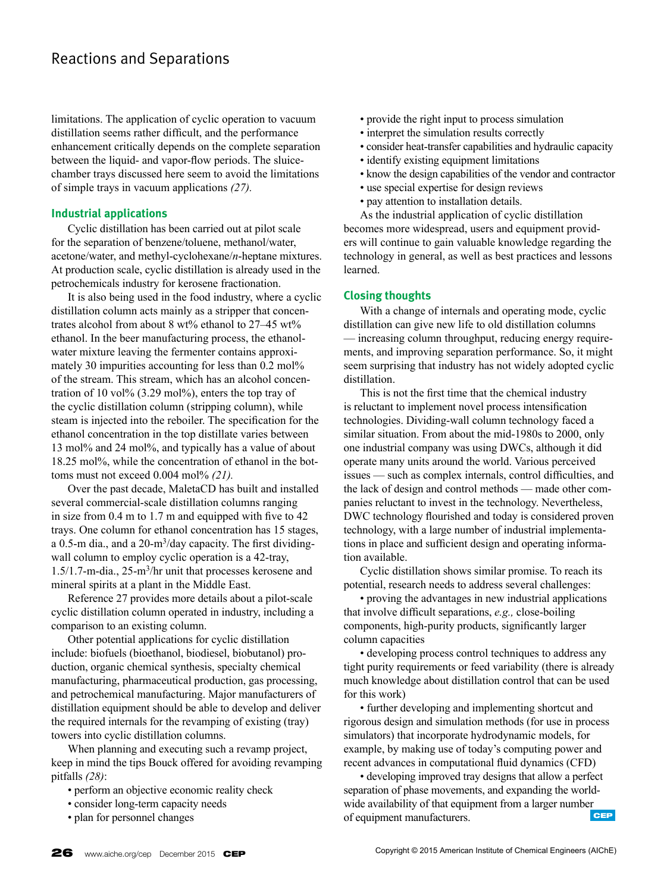# Reactions and Separations

limitations. The application of cyclic operation to vacuum distillation seems rather difficult, and the performance enhancement critically depends on the complete separation between the liquid- and vapor-flow periods. The sluicechamber trays discussed here seem to avoid the limitations of simple trays in vacuum applications *(27).*

## **Industrial applications**

Cyclic distillation has been carried out at pilot scale for the separation of benzene/toluene, methanol/water, acetone/water, and methyl-cyclohexane/*n*-heptane mixtures. At production scale, cyclic distillation is already used in the petrochemicals industry for kerosene fractionation.

It is also being used in the food industry, where a cyclic distillation column acts mainly as a stripper that concentrates alcohol from about 8 wt% ethanol to 27–45 wt% ethanol. In the beer manufacturing process, the ethanolwater mixture leaving the fermenter contains approximately 30 impurities accounting for less than 0.2 mol% of the stream. This stream, which has an alcohol concentration of 10 vol $\%$  (3.29 mol $\%$ ), enters the top tray of the cyclic distillation column (stripping column), while steam is injected into the reboiler. The specification for the ethanol concentration in the top distillate varies between 13 mol% and 24 mol%, and typically has a value of about 18.25 mol%, while the concentration of ethanol in the bottoms must not exceed 0.004 mol% *(21).*

Over the past decade, MaletaCD has built and installed several commercial-scale distillation columns ranging in size from 0.4 m to 1.7 m and equipped with five to 42 trays. One column for ethanol concentration has 15 stages, a 0.5-m dia., and a  $20 \text{-} m^3$ /day capacity. The first dividingwall column to employ cyclic operation is a 42-tray, 1.5/1.7-m-dia., 25-m3/hr unit that processes kerosene and mineral spirits at a plant in the Middle East.

Reference 27 provides more details about a pilot-scale cyclic distillation column operated in industry, including a comparison to an existing column.

Other potential applications for cyclic distillation include: biofuels (bioethanol, biodiesel, biobutanol) production, organic chemical synthesis, specialty chemical manufacturing, pharmaceutical production, gas processing, and petrochemical manufacturing. Major manufacturers of distillation equipment should be able to develop and deliver the required internals for the revamping of existing (tray) towers into cyclic distillation columns.

When planning and executing such a revamp project, keep in mind the tips Bouck offered for avoiding revamping pitfalls *(28)*:

- perform an objective economic reality check
- consider long-term capacity needs
- plan for personnel changes
- provide the right input to process simulation
- interpret the simulation results correctly
- consider heat-transfer capabilities and hydraulic capacity
- identify existing equipment limitations
- know the design capabilities of the vendor and contractor
- use special expertise for design reviews
- pay attention to installation details.

As the industrial application of cyclic distillation becomes more widespread, users and equipment providers will continue to gain valuable knowledge regarding the technology in general, as well as best practices and lessons learned.

### **Closing thoughts**

With a change of internals and operating mode, cyclic distillation can give new life to old distillation columns — increasing column throughput, reducing energy requirements, and improving separation performance. So, it might seem surprising that industry has not widely adopted cyclic distillation.

This is not the first time that the chemical industry is reluctant to implement novel process intensification technologies. Dividing-wall column technology faced a similar situation. From about the mid-1980s to 2000, only one industrial company was using DWCs, although it did operate many units around the world. Various perceived issues — such as complex internals, control difficulties, and the lack of design and control methods — made other companies reluctant to invest in the technology. Nevertheless, DWC technology flourished and today is considered proven technology, with a large number of industrial implementations in place and sufficient design and operating information available.

Cyclic distillation shows similar promise. To reach its potential, research needs to address several challenges:

• proving the advantages in new industrial applications that involve difficult separations, *e.g.,* close-boiling components, high-purity products, significantly larger column capacities

• developing process control techniques to address any tight purity requirements or feed variability (there is already much knowledge about distillation control that can be used for this work)

• further developing and implementing shortcut and rigorous design and simulation methods (for use in process simulators) that incorporate hydrodynamic models, for example, by making use of today's computing power and recent advances in computational fluid dynamics (CFD)

• developing improved tray designs that allow a perfect separation of phase movements, and expanding the worldwide availability of that equipment from a larger number<br>of equipment manufacturers of equipment manufacturers.